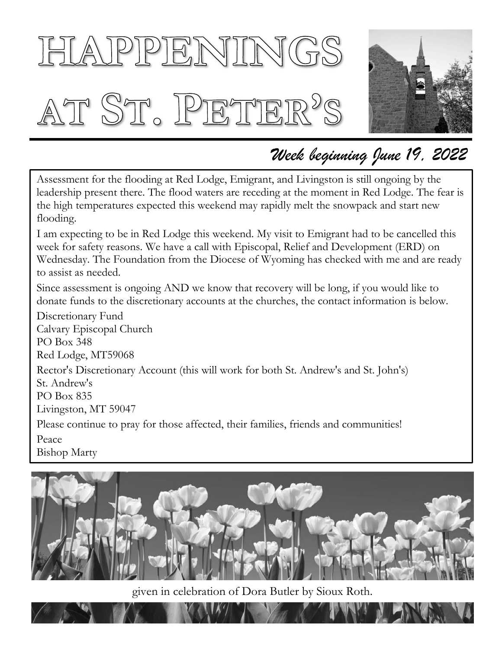# HAPPENINGS AT ST. PETER'S



### *Week beginning June 19, 2022*

Assessment for the flooding at Red Lodge, Emigrant, and Livingston is still ongoing by the leadership present there. The flood waters are receding at the moment in Red Lodge. The fear is the high temperatures expected this weekend may rapidly melt the snowpack and start new flooding.

I am expecting to be in Red Lodge this weekend. My visit to Emigrant had to be cancelled this week for safety reasons. We have a call with Episcopal, Relief and Development (ERD) on Wednesday. The Foundation from the Diocese of Wyoming has checked with me and are ready to assist as needed.

Since assessment is ongoing AND we know that recovery will be long, if you would like to donate funds to the discretionary accounts at the churches, the contact information is below.

Discretionary Fund Calvary Episcopal Church PO Box 348 Red Lodge, MT59068 Rector's Discretionary Account (this will work for both St. Andrew's and St. John's) St. Andrew's PO Box 835 Livingston, MT 59047 Please continue to pray for those affected, their families, friends and communities! Peace Bishop Marty



given in celebration of Dora Butler by Sioux Roth.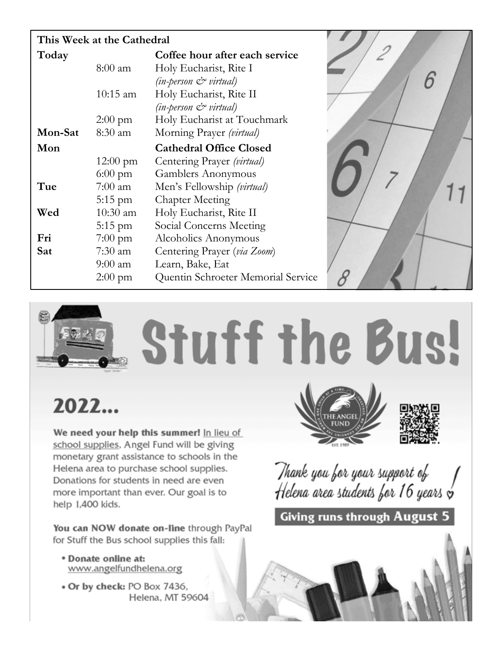| This Week at the Cathedral                             |                                    |
|--------------------------------------------------------|------------------------------------|
| Coffee hour after each service<br>Today                |                                    |
| Holy Eucharist, Rite I<br>$8:00$ am                    |                                    |
| $(in$ -person $\mathcal{O}$ virtual)                   |                                    |
| Holy Eucharist, Rite II<br>$10:15$ am                  |                                    |
| (in-person & virtual)                                  |                                    |
| Holy Eucharist at Touchmark<br>$2:00 \text{ pm}$       |                                    |
| Morning Prayer (virtual)<br>Mon-Sat<br>8:30 am         |                                    |
| <b>Cathedral Office Closed</b><br>Mon                  |                                    |
| Centering Prayer (virtual)<br>$12:00 \text{ pm}$       |                                    |
| $6:00$ pm<br>Gamblers Anonymous                        |                                    |
| Tue<br>Men's Fellowship (virtual)<br>$7:00 \text{ am}$ |                                    |
| <b>Chapter Meeting</b><br>$5:15$ pm                    |                                    |
| Holy Eucharist, Rite II<br>Wed<br>$10:30$ am           |                                    |
| Social Concerns Meeting<br>$5:15$ pm                   |                                    |
| Fri<br>$7:00 \text{ pm}$<br>Alcoholics Anonymous       |                                    |
| Centering Prayer (via Zoom)<br>Sat<br>$7:30$ am        |                                    |
| Learn, Bake, Eat<br>$9:00 \text{ am}$                  |                                    |
| $2:00 \text{ pm}$                                      | Quentin Schroeter Memorial Service |

# **Stuff the Bus!**

## 2022...

We need your help this summer! In lieu of school supplies, Angel Fund will be giving monetary grant assistance to schools in the Helena area to purchase school supplies. Donations for students in need are even more important than ever. Our goal is to help 1,400 kids.

You can NOW donate on-line through PayPal for Stuff the Bus school supplies this fall:

- \* Donate online at: www.angelfundhelena.org
- . Or by check: PO Box 7436, Helena, MT 59604





Thank you for your support of Helena area students for 16 years  $\breve{\mathsf{v}}$ 

**Giving runs through August 5** 

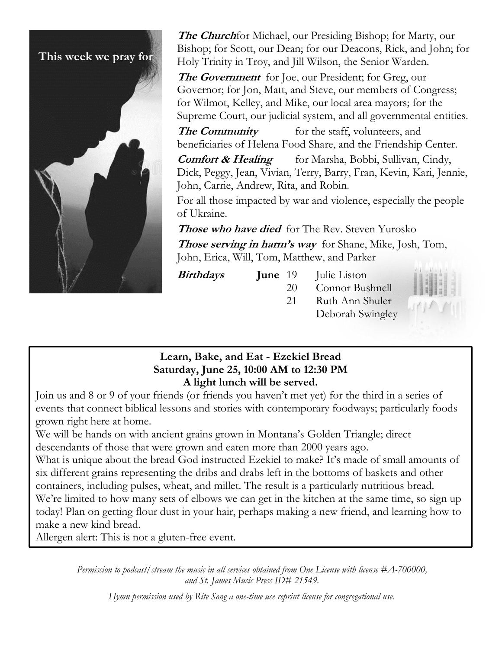

**The Church**for Michael, our Presiding Bishop; for Marty, our Bishop; for Scott, our Dean; for our Deacons, Rick, and John; for Holy Trinity in Troy, and Jill Wilson, the Senior Warden.

**The Government** for Joe, our President; for Greg, our Governor; for Jon, Matt, and Steve, our members of Congress; for Wilmot, Kelley, and Mike, our local area mayors; for the Supreme Court, our judicial system, and all governmental entities.

**The Community** for the staff, volunteers, and beneficiaries of Helena Food Share, and the Friendship Center.

**Comfort & Healing** for Marsha, Bobbi, Sullivan, Cindy, Dick, Peggy, Jean, Vivian, Terry, Barry, Fran, Kevin, Kari, Jennie, John, Carrie, Andrew, Rita, and Robin.

For all those impacted by war and violence, especially the people of Ukraine.

**Those who have died** for The Rev. Steven Yurosko

**Those serving in harm's way** for Shane, Mike, Josh, Tom, John, Erica, Will, Tom, Matthew, and Parker

**Birthdays** 

- **June** 19 Julie Liston
	- 20 Connor Bushnell 21 Ruth Ann Shuler Deborah Swingley



#### **Learn, Bake, and Eat - Ezekiel Bread Saturday, June 25, 10:00 AM to 12:30 PM A light lunch will be served.**

Join us and 8 or 9 of your friends (or friends you haven't met yet) for the third in a series of events that connect biblical lessons and stories with contemporary foodways; particularly foods grown right here at home.

We will be hands on with ancient grains grown in Montana's Golden Triangle; direct descendants of those that were grown and eaten more than 2000 years ago.

What is unique about the bread God instructed Ezekiel to make? It's made of small amounts of six different grains representing the dribs and drabs left in the bottoms of baskets and other containers, including pulses, wheat, and millet. The result is a particularly nutritious bread.

We're limited to how many sets of elbows we can get in the kitchen at the same time, so sign up today! Plan on getting flour dust in your hair, perhaps making a new friend, and learning how to make a new kind bread.

Allergen alert: This is not a gluten-free event.

*Permission to podcast/stream the music in all services obtained from One License with license #A-700000, and St. James Music Press ID# 21549.*

*Hymn permission used by Rite Song a one-time use reprint license for congregational use.*